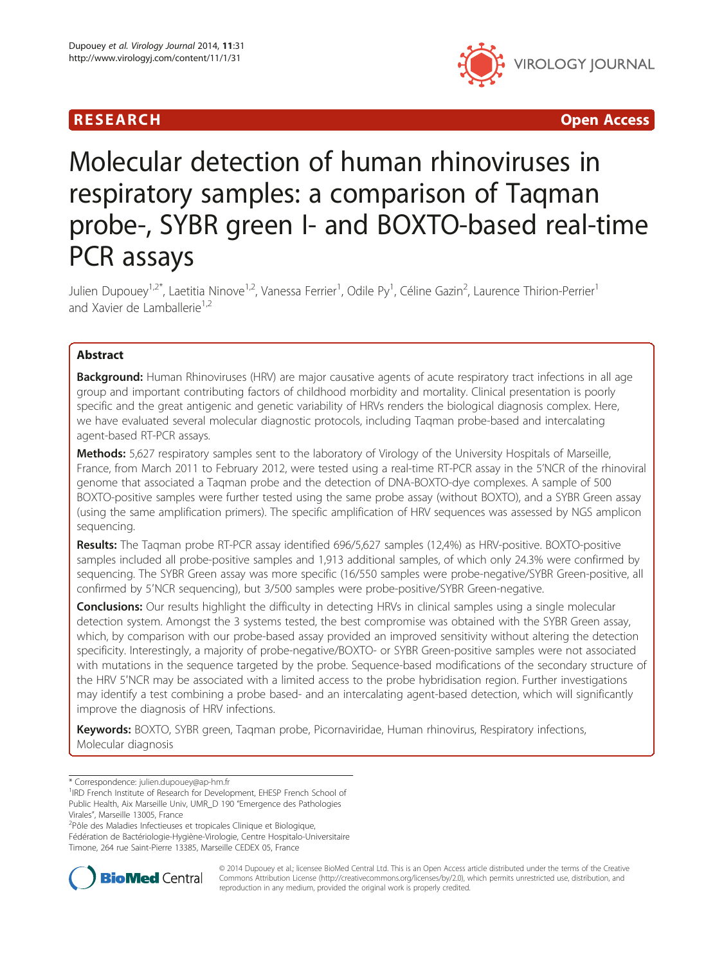

R E S EAR CH Open Access

# Molecular detection of human rhinoviruses in respiratory samples: a comparison of Taqman probe-, SYBR green I- and BOXTO-based real-time PCR assays

Julien Dupouey<sup>1,2\*</sup>, Laetitia Ninove<sup>1,2</sup>, Vanessa Ferrier<sup>1</sup>, Odile Py<sup>1</sup>, Céline Gazin<sup>2</sup>, Laurence Thirion-Perrier<sup>1</sup> and Xavier de Lamballerie<sup>1,2</sup>

# Abstract

Background: Human Rhinoviruses (HRV) are major causative agents of acute respiratory tract infections in all age group and important contributing factors of childhood morbidity and mortality. Clinical presentation is poorly specific and the great antigenic and genetic variability of HRVs renders the biological diagnosis complex. Here, we have evaluated several molecular diagnostic protocols, including Taqman probe-based and intercalating agent-based RT-PCR assays.

Methods: 5,627 respiratory samples sent to the laboratory of Virology of the University Hospitals of Marseille, France, from March 2011 to February 2012, were tested using a real-time RT-PCR assay in the 5'NCR of the rhinoviral genome that associated a Taqman probe and the detection of DNA-BOXTO-dye complexes. A sample of 500 BOXTO-positive samples were further tested using the same probe assay (without BOXTO), and a SYBR Green assay (using the same amplification primers). The specific amplification of HRV sequences was assessed by NGS amplicon sequencing.

Results: The Taqman probe RT-PCR assay identified 696/5,627 samples (12,4%) as HRV-positive. BOXTO-positive samples included all probe-positive samples and 1,913 additional samples, of which only 24.3% were confirmed by sequencing. The SYBR Green assay was more specific (16/550 samples were probe-negative/SYBR Green-positive, all confirmed by 5′NCR sequencing), but 3/500 samples were probe-positive/SYBR Green-negative.

**Conclusions:** Our results highlight the difficulty in detecting HRVs in clinical samples using a single molecular detection system. Amongst the 3 systems tested, the best compromise was obtained with the SYBR Green assay, which, by comparison with our probe-based assay provided an improved sensitivity without altering the detection specificity. Interestingly, a majority of probe-negative/BOXTO- or SYBR Green-positive samples were not associated with mutations in the sequence targeted by the probe. Sequence-based modifications of the secondary structure of the HRV 5′NCR may be associated with a limited access to the probe hybridisation region. Further investigations may identify a test combining a probe based- and an intercalating agent-based detection, which will significantly improve the diagnosis of HRV infections.

Keywords: BOXTO, SYBR green, Taqman probe, Picornaviridae, Human rhinovirus, Respiratory infections, Molecular diagnosis

\* Correspondence: [julien.dupouey@ap-hm.fr](mailto:julien.dupouey@ap-hm.fr) <sup>1</sup>

Virales", Marseille 13005, France <sup>2</sup>

<sup>2</sup>Pôle des Maladies Infectieuses et tropicales Clinique et Biologique,

Fédération de Bactériologie-Hygiène-Virologie, Centre Hospitalo-Universitaire Timone, 264 rue Saint-Pierre 13385, Marseille CEDEX 05, France



© 2014 Dupouey et al.; licensee BioMed Central Ltd. This is an Open Access article distributed under the terms of the Creative Commons Attribution License [\(http://creativecommons.org/licenses/by/2.0\)](http://creativecommons.org/licenses/by/2.0), which permits unrestricted use, distribution, and reproduction in any medium, provided the original work is properly credited.

<sup>&</sup>lt;sup>1</sup>IRD French Institute of Research for Development, EHESP French School of Public Health, Aix Marseille Univ, UMR\_D 190 "Emergence des Pathologies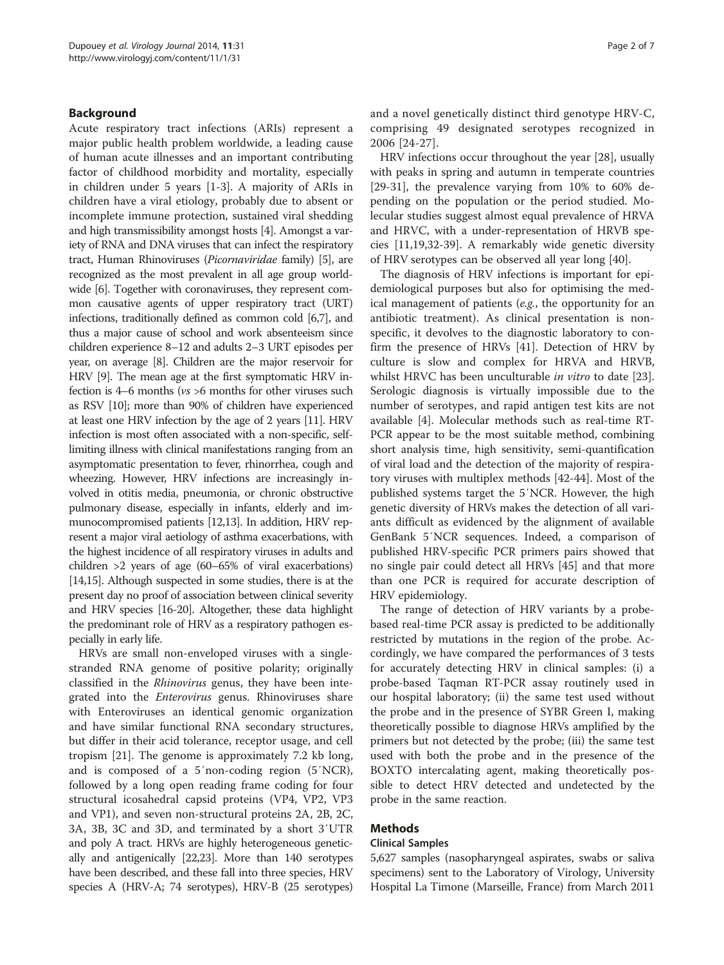# Background

Acute respiratory tract infections (ARIs) represent a major public health problem worldwide, a leading cause of human acute illnesses and an important contributing factor of childhood morbidity and mortality, especially in children under 5 years [[1-3](#page-5-0)]. A majority of ARIs in children have a viral etiology, probably due to absent or incomplete immune protection, sustained viral shedding and high transmissibility amongst hosts [\[4](#page-5-0)]. Amongst a variety of RNA and DNA viruses that can infect the respiratory tract, Human Rhinoviruses (Picornaviridae family) [\[5\]](#page-5-0), are recognized as the most prevalent in all age group worldwide [\[6\]](#page-5-0). Together with coronaviruses, they represent common causative agents of upper respiratory tract (URT) infections, traditionally defined as common cold [\[6,7](#page-5-0)], and thus a major cause of school and work absenteeism since children experience 8–12 and adults 2–3 URT episodes per year, on average [[8\]](#page-5-0). Children are the major reservoir for HRV [\[9\]](#page-5-0). The mean age at the first symptomatic HRV infection is 4–6 months (vs >6 months for other viruses such as RSV [\[10\]](#page-5-0); more than 90% of children have experienced at least one HRV infection by the age of 2 years [\[11\]](#page-5-0). HRV infection is most often associated with a non-specific, selflimiting illness with clinical manifestations ranging from an asymptomatic presentation to fever, rhinorrhea, cough and wheezing. However, HRV infections are increasingly involved in otitis media, pneumonia, or chronic obstructive pulmonary disease, especially in infants, elderly and immunocompromised patients [[12,13\]](#page-5-0). In addition, HRV represent a major viral aetiology of asthma exacerbations, with the highest incidence of all respiratory viruses in adults and children >2 years of age (60–65% of viral exacerbations) [[14,15\]](#page-5-0). Although suspected in some studies, there is at the present day no proof of association between clinical severity and HRV species [\[16](#page-5-0)-[20](#page-5-0)]. Altogether, these data highlight the predominant role of HRV as a respiratory pathogen especially in early life.

HRVs are small non-enveloped viruses with a singlestranded RNA genome of positive polarity; originally classified in the Rhinovirus genus, they have been integrated into the Enterovirus genus. Rhinoviruses share with Enteroviruses an identical genomic organization and have similar functional RNA secondary structures, but differ in their acid tolerance, receptor usage, and cell tropism [\[21\]](#page-5-0). The genome is approximately 7.2 kb long, and is composed of a 5′non-coding region (5′NCR), followed by a long open reading frame coding for four structural icosahedral capsid proteins (VP4, VP2, VP3 and VP1), and seven non-structural proteins 2A, 2B, 2C, 3A, 3B, 3C and 3D, and terminated by a short 3′UTR and poly A tract. HRVs are highly heterogeneous genetically and antigenically [[22,23\]](#page-6-0). More than 140 serotypes have been described, and these fall into three species, HRV species A (HRV-A; 74 serotypes), HRV-B (25 serotypes) and a novel genetically distinct third genotype HRV-C, comprising 49 designated serotypes recognized in 2006 [\[24-27\]](#page-6-0).

HRV infections occur throughout the year [\[28](#page-6-0)], usually with peaks in spring and autumn in temperate countries [[29-31](#page-6-0)], the prevalence varying from 10% to 60% depending on the population or the period studied. Molecular studies suggest almost equal prevalence of HRVA and HRVC, with a under-representation of HRVB species [[11,19,](#page-5-0)[32](#page-6-0)-[39\]](#page-6-0). A remarkably wide genetic diversity of HRV serotypes can be observed all year long [\[40](#page-6-0)].

The diagnosis of HRV infections is important for epidemiological purposes but also for optimising the medical management of patients (e.g., the opportunity for an antibiotic treatment). As clinical presentation is nonspecific, it devolves to the diagnostic laboratory to confirm the presence of HRVs [[41](#page-6-0)]. Detection of HRV by culture is slow and complex for HRVA and HRVB, whilst HRVC has been unculturable in vitro to date [\[23](#page-6-0)]. Serologic diagnosis is virtually impossible due to the number of serotypes, and rapid antigen test kits are not available [[4\]](#page-5-0). Molecular methods such as real-time RT-PCR appear to be the most suitable method, combining short analysis time, high sensitivity, semi-quantification of viral load and the detection of the majority of respiratory viruses with multiplex methods [\[42-44](#page-6-0)]. Most of the published systems target the 5′NCR. However, the high genetic diversity of HRVs makes the detection of all variants difficult as evidenced by the alignment of available GenBank 5′NCR sequences. Indeed, a comparison of published HRV-specific PCR primers pairs showed that no single pair could detect all HRVs [[45](#page-6-0)] and that more than one PCR is required for accurate description of HRV epidemiology.

The range of detection of HRV variants by a probebased real-time PCR assay is predicted to be additionally restricted by mutations in the region of the probe. Accordingly, we have compared the performances of 3 tests for accurately detecting HRV in clinical samples: (i) a probe-based Taqman RT-PCR assay routinely used in our hospital laboratory; (ii) the same test used without the probe and in the presence of SYBR Green I, making theoretically possible to diagnose HRVs amplified by the primers but not detected by the probe; (iii) the same test used with both the probe and in the presence of the BOXTO intercalating agent, making theoretically possible to detect HRV detected and undetected by the probe in the same reaction.

# Methods

### Clinical Samples

5,627 samples (nasopharyngeal aspirates, swabs or saliva specimens) sent to the Laboratory of Virology, University Hospital La Timone (Marseille, France) from March 2011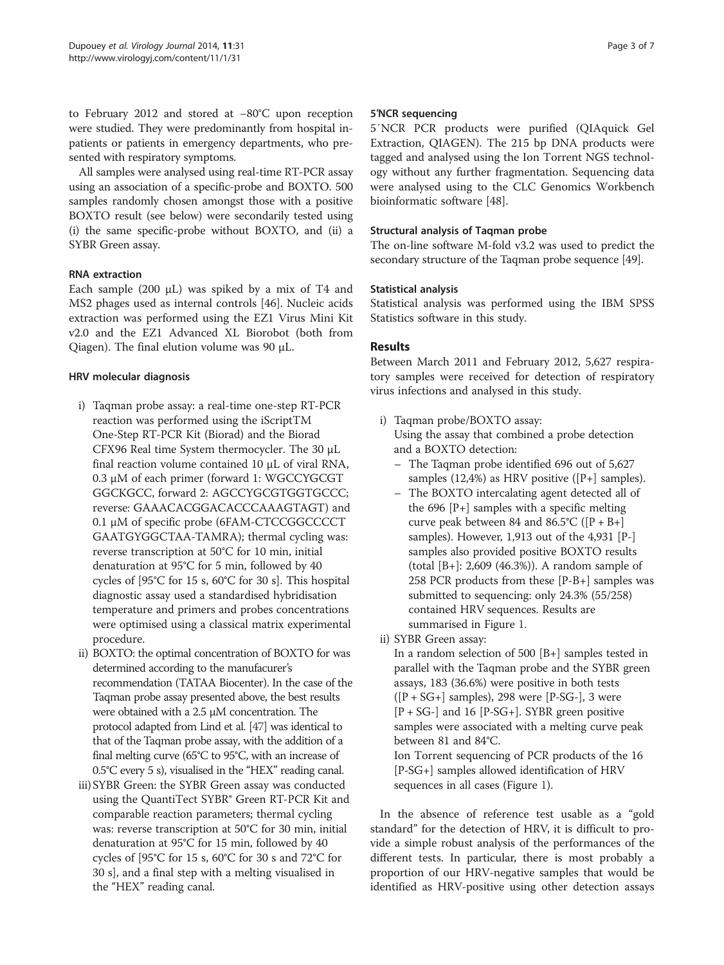to February 2012 and stored at −80°C upon reception were studied. They were predominantly from hospital inpatients or patients in emergency departments, who presented with respiratory symptoms.

All samples were analysed using real-time RT-PCR assay using an association of a specific-probe and BOXTO. 500 samples randomly chosen amongst those with a positive BOXTO result (see below) were secondarily tested using (i) the same specific-probe without BOXTO, and (ii) a SYBR Green assay.

# RNA extraction

Each sample (200 μL) was spiked by a mix of T4 and MS2 phages used as internal controls [[46](#page-6-0)]. Nucleic acids extraction was performed using the EZ1 Virus Mini Kit v2.0 and the EZ1 Advanced XL Biorobot (both from Qiagen). The final elution volume was 90 μL.

# HRV molecular diagnosis

- i) Taqman probe assay: a real-time one-step RT-PCR reaction was performed using the iScriptTM One-Step RT-PCR Kit (Biorad) and the Biorad CFX96 Real time System thermocycler. The 30 μL final reaction volume contained 10 μL of viral RNA, 0.3 μM of each primer (forward 1: WGCCYGCGT GGCKGCC, forward 2: AGCCYGCGTGGTGCCC; reverse: GAAACACGGACACCCAAAGTAGT) and 0.1 μM of specific probe (6FAM-CTCCGGCCCCT GAATGYGGCTAA-TAMRA); thermal cycling was: reverse transcription at 50°C for 10 min, initial denaturation at 95°C for 5 min, followed by 40 cycles of [95°C for 15 s, 60°C for 30 s]. This hospital diagnostic assay used a standardised hybridisation temperature and primers and probes concentrations were optimised using a classical matrix experimental procedure.
- ii) BOXTO: the optimal concentration of BOXTO for was determined according to the manufacurer's recommendation (TATAA Biocenter). In the case of the Taqman probe assay presented above, the best results were obtained with a  $2.5 \mu M$  concentration. The protocol adapted from Lind et al. [\[47\]](#page-6-0) was identical to that of the Taqman probe assay, with the addition of a final melting curve (65°C to 95°C, with an increase of 0.5°C every 5 s), visualised in the "HEX" reading canal.
- iii) SYBR Green: the SYBR Green assay was conducted using the QuantiTect SYBR® Green RT-PCR Kit and comparable reaction parameters; thermal cycling was: reverse transcription at 50°C for 30 min, initial denaturation at 95°C for 15 min, followed by 40 cycles of [95°C for 15 s, 60°C for 30 s and 72°C for 30 s], and a final step with a melting visualised in the "HEX" reading canal.

# 5′NCR sequencing

5′NCR PCR products were purified (QIAquick Gel Extraction, QIAGEN). The 215 bp DNA products were tagged and analysed using the Ion Torrent NGS technology without any further fragmentation. Sequencing data were analysed using to the CLC Genomics Workbench bioinformatic software [\[48\]](#page-6-0).

# Structural analysis of Taqman probe

The on-line software M-fold v3.2 was used to predict the secondary structure of the Taqman probe sequence [[49](#page-6-0)].

# Statistical analysis

Statistical analysis was performed using the IBM SPSS Statistics software in this study.

# Results

Between March 2011 and February 2012, 5,627 respiratory samples were received for detection of respiratory virus infections and analysed in this study.

- i) Taqman probe/BOXTO assay: Using the assay that combined a probe detection and a BOXTO detection:
	- The Taqman probe identified 696 out of 5,627 samples (12,4%) as HRV positive ( $[P+]$  samples).
	- The BOXTO intercalating agent detected all of the 696  $[P+]$  samples with a specific melting curve peak between 84 and 86.5°C ( $[P + B+]$ samples). However, 1,913 out of the 4,931 [P-] samples also provided positive BOXTO results (total [B+]: 2,609 (46.3%)). A random sample of 258 PCR products from these [P-B+] samples was submitted to sequencing: only 24.3% (55/258) contained HRV sequences. Results are summarised in Figure [1](#page-3-0).
- ii) SYBR Green assay:

In a random selection of 500 [B+] samples tested in parallel with the Taqman probe and the SYBR green assays, 183 (36.6%) were positive in both tests  $([P + SG+]$  samples), 298 were  $[P-SG-]$ , 3 were [P + SG-] and 16 [P-SG+]. SYBR green positive samples were associated with a melting curve peak between 81 and 84°C. Ion Torrent sequencing of PCR products of the 16 [P-SG+] samples allowed identification of HRV

sequences in all cases (Figure [1\)](#page-3-0).

In the absence of reference test usable as a "gold standard" for the detection of HRV, it is difficult to provide a simple robust analysis of the performances of the different tests. In particular, there is most probably a proportion of our HRV-negative samples that would be identified as HRV-positive using other detection assays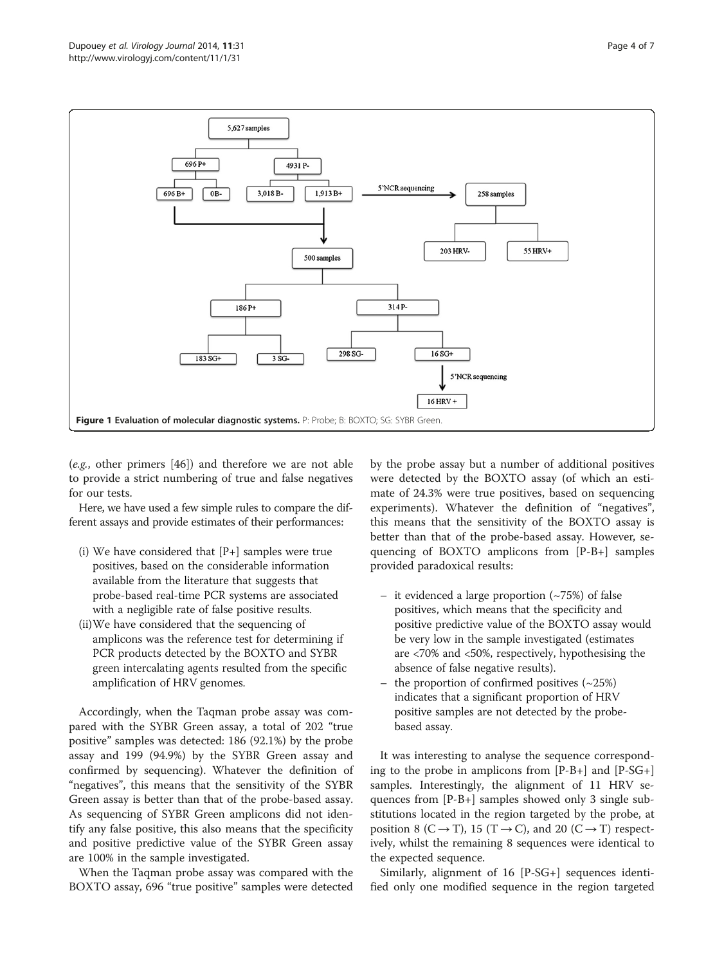<span id="page-3-0"></span>

(e.g., other primers [\[46](#page-6-0)]) and therefore we are not able to provide a strict numbering of true and false negatives for our tests.

Here, we have used a few simple rules to compare the different assays and provide estimates of their performances:

- (i) We have considered that  $[P+]$  samples were true positives, based on the considerable information available from the literature that suggests that probe-based real-time PCR systems are associated with a negligible rate of false positive results.
- (ii)We have considered that the sequencing of amplicons was the reference test for determining if PCR products detected by the BOXTO and SYBR green intercalating agents resulted from the specific amplification of HRV genomes.

Accordingly, when the Taqman probe assay was compared with the SYBR Green assay, a total of 202 "true positive" samples was detected: 186 (92.1%) by the probe assay and 199 (94.9%) by the SYBR Green assay and confirmed by sequencing). Whatever the definition of "negatives", this means that the sensitivity of the SYBR Green assay is better than that of the probe-based assay. As sequencing of SYBR Green amplicons did not identify any false positive, this also means that the specificity and positive predictive value of the SYBR Green assay are 100% in the sample investigated.

When the Taqman probe assay was compared with the BOXTO assay, 696 "true positive" samples were detected by the probe assay but a number of additional positives were detected by the BOXTO assay (of which an estimate of 24.3% were true positives, based on sequencing experiments). Whatever the definition of "negatives", this means that the sensitivity of the BOXTO assay is better than that of the probe-based assay. However, sequencing of BOXTO amplicons from [P-B+] samples provided paradoxical results:

- it evidenced a large proportion  $(\sim 75%)$  of false positives, which means that the specificity and positive predictive value of the BOXTO assay would be very low in the sample investigated (estimates are <70% and <50%, respectively, hypothesising the absence of false negative results).
- the proportion of confirmed positives  $(-25%)$ indicates that a significant proportion of HRV positive samples are not detected by the probebased assay.

It was interesting to analyse the sequence corresponding to the probe in amplicons from [P-B+] and [P-SG+] samples. Interestingly, the alignment of 11 HRV sequences from [P-B+] samples showed only 3 single substitutions located in the region targeted by the probe, at position 8 (C  $\rightarrow$  T), 15 (T  $\rightarrow$  C), and 20 (C  $\rightarrow$  T) respectively, whilst the remaining 8 sequences were identical to the expected sequence.

Similarly, alignment of 16 [P-SG+] sequences identified only one modified sequence in the region targeted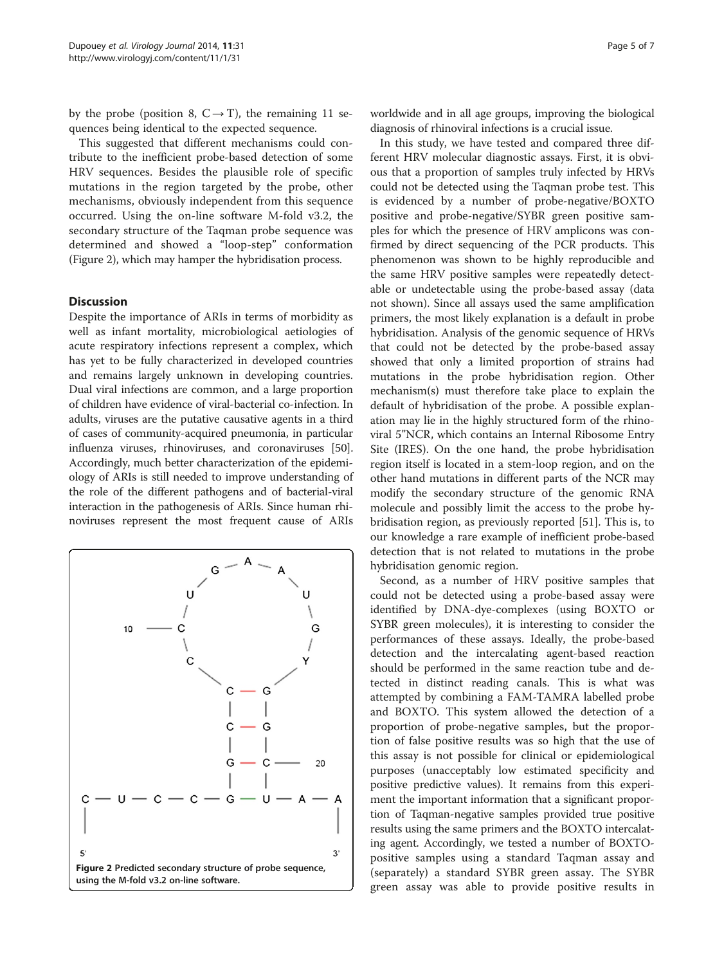by the probe (position 8,  $C \rightarrow T$ ), the remaining 11 sequences being identical to the expected sequence.

This suggested that different mechanisms could contribute to the inefficient probe-based detection of some HRV sequences. Besides the plausible role of specific mutations in the region targeted by the probe, other mechanisms, obviously independent from this sequence occurred. Using the on-line software M-fold v3.2, the secondary structure of the Taqman probe sequence was determined and showed a "loop-step" conformation (Figure 2), which may hamper the hybridisation process.

## **Discussion**

Despite the importance of ARIs in terms of morbidity as well as infant mortality, microbiological aetiologies of acute respiratory infections represent a complex, which has yet to be fully characterized in developed countries and remains largely unknown in developing countries. Dual viral infections are common, and a large proportion of children have evidence of viral-bacterial co-infection. In adults, viruses are the putative causative agents in a third of cases of community-acquired pneumonia, in particular influenza viruses, rhinoviruses, and coronaviruses [[50](#page-6-0)]. Accordingly, much better characterization of the epidemiology of ARIs is still needed to improve understanding of the role of the different pathogens and of bacterial-viral interaction in the pathogenesis of ARIs. Since human rhinoviruses represent the most frequent cause of ARIs



worldwide and in all age groups, improving the biological diagnosis of rhinoviral infections is a crucial issue.

In this study, we have tested and compared three different HRV molecular diagnostic assays. First, it is obvious that a proportion of samples truly infected by HRVs could not be detected using the Taqman probe test. This is evidenced by a number of probe-negative/BOXTO positive and probe-negative/SYBR green positive samples for which the presence of HRV amplicons was confirmed by direct sequencing of the PCR products. This phenomenon was shown to be highly reproducible and the same HRV positive samples were repeatedly detectable or undetectable using the probe-based assay (data not shown). Since all assays used the same amplification primers, the most likely explanation is a default in probe hybridisation. Analysis of the genomic sequence of HRVs that could not be detected by the probe-based assay showed that only a limited proportion of strains had mutations in the probe hybridisation region. Other mechanism(s) must therefore take place to explain the default of hybridisation of the probe. A possible explanation may lie in the highly structured form of the rhinoviral 5"NCR, which contains an Internal Ribosome Entry Site (IRES). On the one hand, the probe hybridisation region itself is located in a stem-loop region, and on the other hand mutations in different parts of the NCR may modify the secondary structure of the genomic RNA molecule and possibly limit the access to the probe hybridisation region, as previously reported [\[51](#page-6-0)]. This is, to our knowledge a rare example of inefficient probe-based detection that is not related to mutations in the probe hybridisation genomic region.

Second, as a number of HRV positive samples that could not be detected using a probe-based assay were identified by DNA-dye-complexes (using BOXTO or SYBR green molecules), it is interesting to consider the performances of these assays. Ideally, the probe-based detection and the intercalating agent-based reaction should be performed in the same reaction tube and detected in distinct reading canals. This is what was attempted by combining a FAM-TAMRA labelled probe and BOXTO. This system allowed the detection of a proportion of probe-negative samples, but the proportion of false positive results was so high that the use of this assay is not possible for clinical or epidemiological purposes (unacceptably low estimated specificity and positive predictive values). It remains from this experiment the important information that a significant proportion of Taqman-negative samples provided true positive results using the same primers and the BOXTO intercalating agent. Accordingly, we tested a number of BOXTOpositive samples using a standard Taqman assay and (separately) a standard SYBR green assay. The SYBR green assay was able to provide positive results in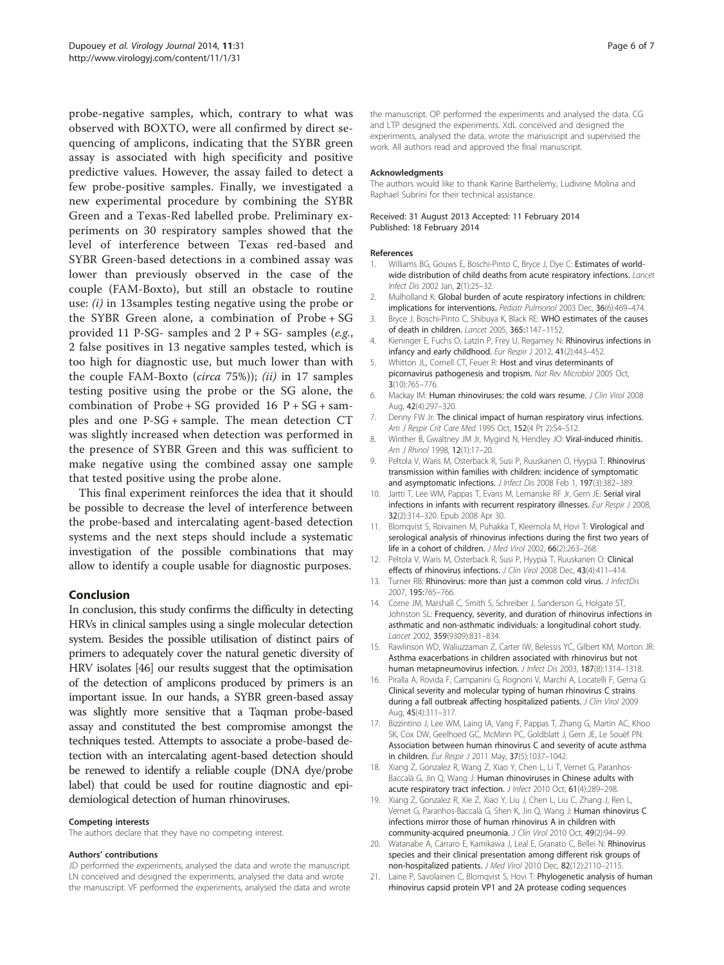<span id="page-5-0"></span>probe-negative samples, which, contrary to what was observed with BOXTO, were all confirmed by direct sequencing of amplicons, indicating that the SYBR green assay is associated with high specificity and positive predictive values. However, the assay failed to detect a few probe-positive samples. Finally, we investigated a new experimental procedure by combining the SYBR Green and a Texas-Red labelled probe. Preliminary experiments on 30 respiratory samples showed that the level of interference between Texas red-based and SYBR Green-based detections in a combined assay was lower than previously observed in the case of the couple (FAM-Boxto), but still an obstacle to routine use:  $(i)$  in 13samples testing negative using the probe or the SYBR Green alone, a combination of Probe + SG provided 11 P-SG- samples and  $2P + SG$ - samples (e.g., 2 false positives in 13 negative samples tested, which is too high for diagnostic use, but much lower than with the couple FAM-Boxto (circa 75%)); (ii) in 17 samples testing positive using the probe or the SG alone, the combination of  $Probe + SG$  provided  $16 P + SG + sam$ ples and one P-SG + sample. The mean detection CT was slightly increased when detection was performed in the presence of SYBR Green and this was sufficient to make negative using the combined assay one sample that tested positive using the probe alone.

This final experiment reinforces the idea that it should be possible to decrease the level of interference between the probe-based and intercalating agent-based detection systems and the next steps should include a systematic investigation of the possible combinations that may allow to identify a couple usable for diagnostic purposes.

### Conclusion

In conclusion, this study confirms the difficulty in detecting HRVs in clinical samples using a single molecular detection system. Besides the possible utilisation of distinct pairs of primers to adequately cover the natural genetic diversity of HRV isolates [\[46\]](#page-6-0) our results suggest that the optimisation of the detection of amplicons produced by primers is an important issue. In our hands, a SYBR green-based assay was slightly more sensitive that a Taqman probe-based assay and constituted the best compromise amongst the techniques tested. Attempts to associate a probe-based detection with an intercalating agent-based detection should be renewed to identify a reliable couple (DNA dye/probe label) that could be used for routine diagnostic and epidemiological detection of human rhinoviruses.

#### Competing interests

The authors declare that they have no competing interest.

#### Authors' contributions

JD performed the experiments, analysed the data and wrote the manuscript. LN conceived and designed the experiments, analysed the data and wrote the manuscript. VF performed the experiments, analysed the data and wrote

the manuscript. OP performed the experiments and analysed the data. CG and LTP designed the experiments. XdL conceived and designed the experiments, analysed the data, wrote the manuscript and supervised the work. All authors read and approved the final manuscript.

#### Acknowledgments

The authors would like to thank Karine Barthelemy, Ludivine Molina and Raphael Subrini for their technical assistance.

#### Received: 31 August 2013 Accepted: 11 February 2014 Published: 18 February 2014

#### References

- 1. Williams BG, Gouws E, Boschi-Pinto C, Bryce J, Dye C: Estimates of worldwide distribution of child deaths from acute respiratory infections. Lancet Infect Dis 2002 Jan, 2(1):25–32.
- 2. Mulholland K: Global burden of acute respiratory infections in children: implications for interventions. Pediatr Pulmonol 2003 Dec, 36(6):469–474.
- 3. Bryce J, Boschi-Pinto C, Shibuya K, Black RE: WHO estimates of the causes of death in children. Lancet 2005, 365:1147–1152.
- 4. Kieninger E, Fuchs O, Latzin P, Frey U, Regamey N: Rhinovirus infections in infancy and early childhood. Eur Respir J 2012, 41(2):443–452.
- 5. Whitton JL, Cornell CT, Feuer R: Host and virus determinants of picornavirus pathogenesis and tropism. Nat Rev Microbiol 2005 Oct, 3(10):765–776.
- 6. Mackay IM: Human rhinoviruses: the cold wars resume. J Clin Virol 2008 Aug, 42(4):297–320.
- Denny FW Jr: The clinical impact of human respiratory virus infections. Am J Respir Crit Care Med 1995 Oct, 152(4 Pt 2):S4-S12.
- 8. Winther B, Gwaltney JM Jr, Mygind N, Hendley JO: Viral-induced rhinitis. Am J Rhinol 1998, 12(1):17–20.
- 9. Peltola V, Waris M, Osterback R, Susi P, Ruuskanen O, Hyypiä T: Rhinovirus transmission within families with children: incidence of symptomatic and asymptomatic infections. J Infect Dis 2008 Feb 1, 197(3):382-389.
- 10. Jartti T, Lee WM, Pappas T, Evans M, Lemanske RF Jr, Gern JE: Serial viral infections in infants with recurrent respiratory illnesses. Eur Respir J 2008, 32(2):314–320. Epub 2008 Apr 30.
- 11. Blomqvist S, Roivainen M, Puhakka T, Kleemola M, Hovi T: Virological and serological analysis of rhinovirus infections during the first two years of life in a cohort of children. J Med Virol 2002, 66(2):263-268.
- 12. Peltola V, Waris M, Osterback R, Susi P, Hyypiä T, Ruuskanen O: Clinical effects of rhinovirus infections. J Clin Virol 2008 Dec, 43(4):411-414.
- 13. Turner RB: Rhinovirus: more than just a common cold virus. J InfectDis 2007, 195:765–766.
- 14. Corne JM, Marshall C, Smith S, Schreiber J, Sanderson G, Holgate ST, Johnston SL: Frequency, severity, and duration of rhinovirus infections in asthmatic and non-asthmatic individuals: a longitudinal cohort study. Lancet 2002, 359(9309):831-834.
- 15. Rawlinson WD, Waliuzzaman Z, Carter IW, Belessis YC, Gilbert KM, Morton JR: Asthma exacerbations in children associated with rhinovirus but not human metapneumovirus infection. J Infect Dis 2003, 187(8):1314-1318.
- 16. Piralla A, Rovida F, Campanini G, Rognoni V, Marchi A, Locatelli F, Gerna G: Clinical severity and molecular typing of human rhinovirus C strains during a fall outbreak affecting hospitalized patients. J Clin Virol 2009 Aug, 45(4):311–317.
- 17. Bizzintino J, Lee WM, Laing IA, Vang F, Pappas T, Zhang G, Martin AC, Khoo SK, Cox DW, Geelhoed GC, McMinn PC, Goldblatt J, Gern JE, Le Souëf PN: Association between human rhinovirus C and severity of acute asthma in children. Eur Respir J 2011 May, 37(5):1037–1042.
- 18. Xiang Z, Gonzalez R, Wang Z, Xiao Y, Chen L, Li T, Vernet G, Paranhos-Baccalà G, Jin Q, Wang J: Human rhinoviruses in Chinese adults with acute respiratory tract infection. J Infect 2010 Oct, 61(4):289–298.
- 19. Xiang Z, Gonzalez R, Xie Z, Xiao Y, Liu J, Chen L, Liu C, Zhang J, Ren L, Vernet G, Paranhos-Baccalà G, Shen K, Jin Q, Wang J: Human rhinovirus C infections mirror those of human rhinovirus A in children with community-acquired pneumonia. J Clin Virol 2010 Oct, 49(2):94–99.
- 20. Watanabe A, Carraro E, Kamikawa J, Leal E, Granato C, Bellei N: Rhinovirus species and their clinical presentation among different risk groups of non-hospitalized patients. J Med Virol 2010 Dec, 82(12):2110–2115.
- 21. Laine P, Savolainen C, Blomqvist S, Hovi T: Phylogenetic analysis of human rhinovirus capsid protein VP1 and 2A protease coding sequences